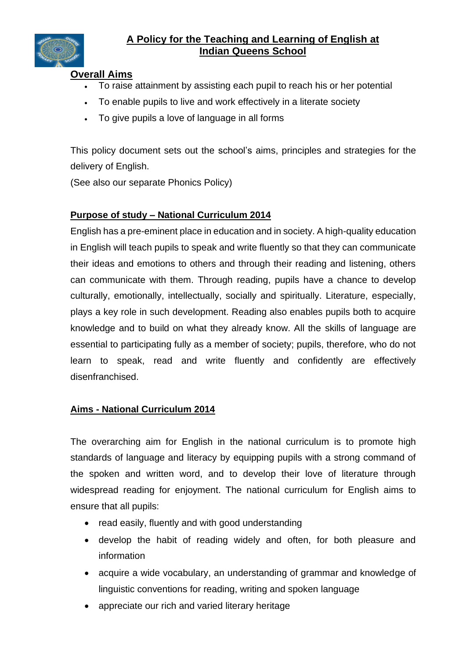

# **A Policy for the Teaching and Learning of English at Indian Queens School**

### **Overall Aims**

- To raise attainment by assisting each pupil to reach his or her potential
- To enable pupils to live and work effectively in a literate society
- To give pupils a love of language in all forms

This policy document sets out the school's aims, principles and strategies for the delivery of English.

(See also our separate Phonics Policy)

### **Purpose of study – National Curriculum 2014**

English has a pre-eminent place in education and in society. A high-quality education in English will teach pupils to speak and write fluently so that they can communicate their ideas and emotions to others and through their reading and listening, others can communicate with them. Through reading, pupils have a chance to develop culturally, emotionally, intellectually, socially and spiritually. Literature, especially, plays a key role in such development. Reading also enables pupils both to acquire knowledge and to build on what they already know. All the skills of language are essential to participating fully as a member of society; pupils, therefore, who do not learn to speak, read and write fluently and confidently are effectively disenfranchised.

### **Aims - National Curriculum 2014**

The overarching aim for English in the national curriculum is to promote high standards of language and literacy by equipping pupils with a strong command of the spoken and written word, and to develop their love of literature through widespread reading for enjoyment. The national curriculum for English aims to ensure that all pupils:

- read easily, fluently and with good understanding
- develop the habit of reading widely and often, for both pleasure and information
- acquire a wide vocabulary, an understanding of grammar and knowledge of linguistic conventions for reading, writing and spoken language
- appreciate our rich and varied literary heritage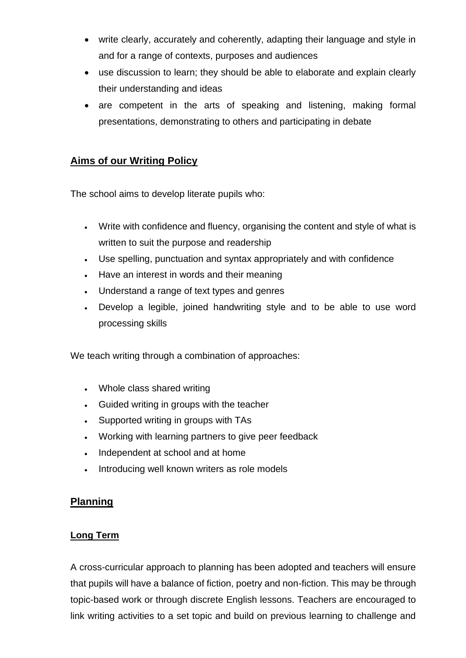- write clearly, accurately and coherently, adapting their language and style in and for a range of contexts, purposes and audiences
- use discussion to learn; they should be able to elaborate and explain clearly their understanding and ideas
- are competent in the arts of speaking and listening, making formal presentations, demonstrating to others and participating in debate

# **Aims of our Writing Policy**

The school aims to develop literate pupils who:

- Write with confidence and fluency, organising the content and style of what is written to suit the purpose and readership
- Use spelling, punctuation and syntax appropriately and with confidence
- Have an interest in words and their meaning
- Understand a range of text types and genres
- Develop a legible, joined handwriting style and to be able to use word processing skills

We teach writing through a combination of approaches:

- Whole class shared writing
- Guided writing in groups with the teacher
- Supported writing in groups with TAs
- Working with learning partners to give peer feedback
- Independent at school and at home
- Introducing well known writers as role models

# **Planning**

# **Long Term**

A cross-curricular approach to planning has been adopted and teachers will ensure that pupils will have a balance of fiction, poetry and non-fiction. This may be through topic-based work or through discrete English lessons. Teachers are encouraged to link writing activities to a set topic and build on previous learning to challenge and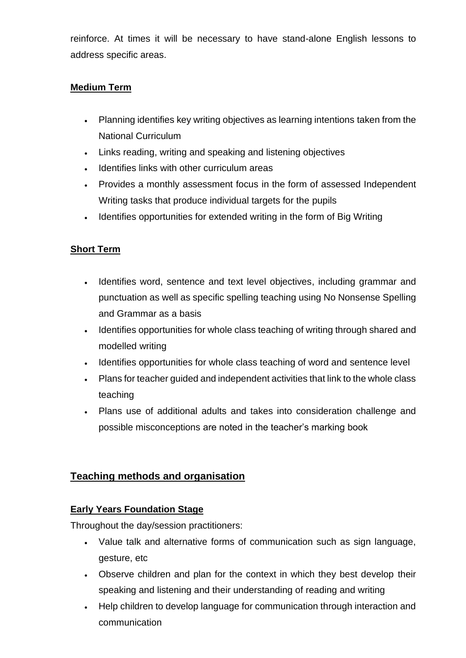reinforce. At times it will be necessary to have stand-alone English lessons to address specific areas.

### **Medium Term**

- Planning identifies key writing objectives as learning intentions taken from the National Curriculum
- Links reading, writing and speaking and listening objectives
- Identifies links with other curriculum areas
- Provides a monthly assessment focus in the form of assessed Independent Writing tasks that produce individual targets for the pupils
- Identifies opportunities for extended writing in the form of Big Writing

### **Short Term**

- Identifies word, sentence and text level objectives, including grammar and punctuation as well as specific spelling teaching using No Nonsense Spelling and Grammar as a basis
- Identifies opportunities for whole class teaching of writing through shared and modelled writing
- Identifies opportunities for whole class teaching of word and sentence level
- Plans for teacher guided and independent activities that link to the whole class teaching
- Plans use of additional adults and takes into consideration challenge and possible misconceptions are noted in the teacher's marking book

### **Teaching methods and organisation**

### **Early Years Foundation Stage**

Throughout the day/session practitioners:

- Value talk and alternative forms of communication such as sign language, gesture, etc
- Observe children and plan for the context in which they best develop their speaking and listening and their understanding of reading and writing
- Help children to develop language for communication through interaction and communication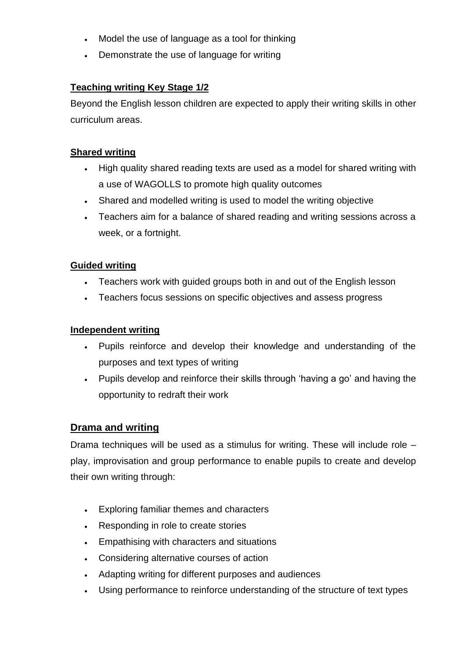- Model the use of language as a tool for thinking
- Demonstrate the use of language for writing

### **Teaching writing Key Stage 1/2**

Beyond the English lesson children are expected to apply their writing skills in other curriculum areas.

### **Shared writing**

- High quality shared reading texts are used as a model for shared writing with a use of WAGOLLS to promote high quality outcomes
- Shared and modelled writing is used to model the writing objective
- Teachers aim for a balance of shared reading and writing sessions across a week, or a fortnight.

### **Guided writing**

- Teachers work with guided groups both in and out of the English lesson
- Teachers focus sessions on specific objectives and assess progress

### **Independent writing**

- Pupils reinforce and develop their knowledge and understanding of the purposes and text types of writing
- Pupils develop and reinforce their skills through 'having a go' and having the opportunity to redraft their work

### **Drama and writing**

Drama techniques will be used as a stimulus for writing. These will include role – play, improvisation and group performance to enable pupils to create and develop their own writing through:

- Exploring familiar themes and characters
- Responding in role to create stories
- Empathising with characters and situations
- Considering alternative courses of action
- Adapting writing for different purposes and audiences
- Using performance to reinforce understanding of the structure of text types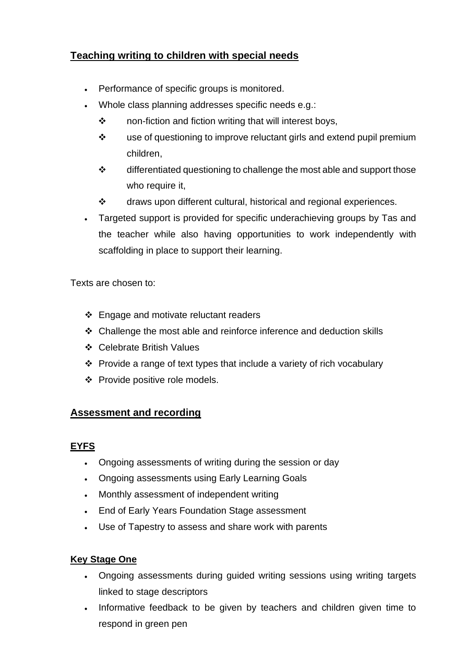# **Teaching writing to children with special needs**

- Performance of specific groups is monitored.
- Whole class planning addresses specific needs e.g.:
	- ❖ non-fiction and fiction writing that will interest boys,
	- ❖ use of questioning to improve reluctant girls and extend pupil premium children,
	- ❖ differentiated questioning to challenge the most able and support those who require it,
	- ❖ draws upon different cultural, historical and regional experiences.
- Targeted support is provided for specific underachieving groups by Tas and the teacher while also having opportunities to work independently with scaffolding in place to support their learning.

Texts are chosen to:

- ❖ Engage and motivate reluctant readers
- ❖ Challenge the most able and reinforce inference and deduction skills
- ❖ Celebrate British Values
- ❖ Provide a range of text types that include a variety of rich vocabulary
- ❖ Provide positive role models.

# **Assessment and recording**

### **EYFS**

- Ongoing assessments of writing during the session or day
- Ongoing assessments using Early Learning Goals
- Monthly assessment of independent writing
- End of Early Years Foundation Stage assessment
- Use of Tapestry to assess and share work with parents

# **Key Stage One**

- Ongoing assessments during guided writing sessions using writing targets linked to stage descriptors
- Informative feedback to be given by teachers and children given time to respond in green pen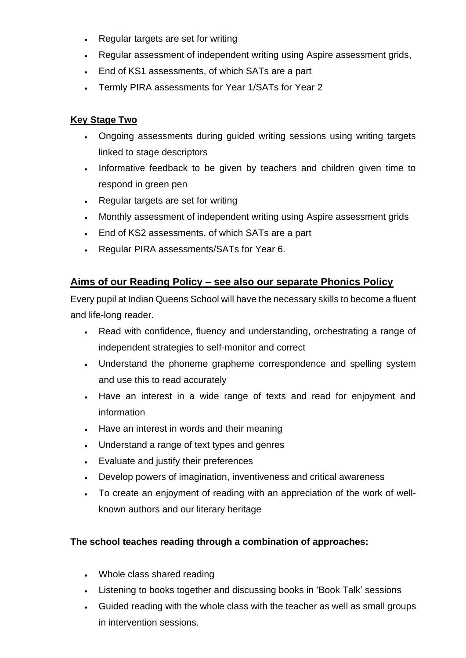- Regular targets are set for writing
- Regular assessment of independent writing using Aspire assessment grids,
- End of KS1 assessments, of which SATs are a part
- Termly PIRA assessments for Year 1/SATs for Year 2

### **Key Stage Two**

- Ongoing assessments during guided writing sessions using writing targets linked to stage descriptors
- Informative feedback to be given by teachers and children given time to respond in green pen
- Regular targets are set for writing
- Monthly assessment of independent writing using Aspire assessment grids
- End of KS2 assessments, of which SATs are a part
- Regular PIRA assessments/SATs for Year 6.

# **Aims of our Reading Policy – see also our separate Phonics Policy**

Every pupil at Indian Queens School will have the necessary skills to become a fluent and life-long reader.

- Read with confidence, fluency and understanding, orchestrating a range of independent strategies to self-monitor and correct
- Understand the phoneme grapheme correspondence and spelling system and use this to read accurately
- Have an interest in a wide range of texts and read for enjoyment and information
- Have an interest in words and their meaning
- Understand a range of text types and genres
- Evaluate and justify their preferences
- Develop powers of imagination, inventiveness and critical awareness
- To create an enjoyment of reading with an appreciation of the work of wellknown authors and our literary heritage

### **The school teaches reading through a combination of approaches:**

- Whole class shared reading
- Listening to books together and discussing books in 'Book Talk' sessions
- Guided reading with the whole class with the teacher as well as small groups in intervention sessions.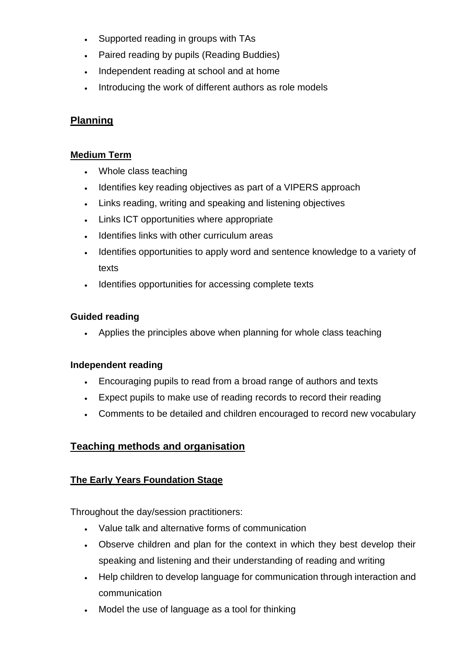- Supported reading in groups with TAs
- Paired reading by pupils (Reading Buddies)
- Independent reading at school and at home
- Introducing the work of different authors as role models

### **Planning**

#### **Medium Term**

- Whole class teaching
- Identifies key reading objectives as part of a VIPERS approach
- Links reading, writing and speaking and listening objectives
- Links ICT opportunities where appropriate
- Identifies links with other curriculum areas
- Identifies opportunities to apply word and sentence knowledge to a variety of texts
- Identifies opportunities for accessing complete texts

### **Guided reading**

• Applies the principles above when planning for whole class teaching

### **Independent reading**

- Encouraging pupils to read from a broad range of authors and texts
- Expect pupils to make use of reading records to record their reading
- Comments to be detailed and children encouraged to record new vocabulary

### **Teaching methods and organisation**

### **The Early Years Foundation Stage**

Throughout the day/session practitioners:

- Value talk and alternative forms of communication
- Observe children and plan for the context in which they best develop their speaking and listening and their understanding of reading and writing
- Help children to develop language for communication through interaction and communication
- Model the use of language as a tool for thinking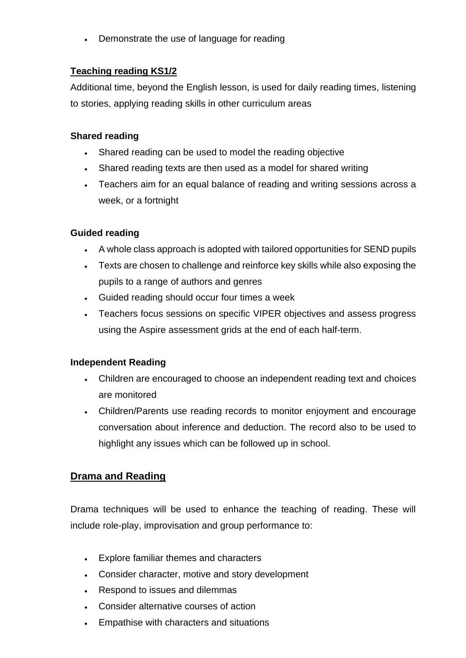• Demonstrate the use of language for reading

## **Teaching reading KS1/2**

Additional time, beyond the English lesson, is used for daily reading times, listening to stories, applying reading skills in other curriculum areas

#### **Shared reading**

- Shared reading can be used to model the reading objective
- Shared reading texts are then used as a model for shared writing
- Teachers aim for an equal balance of reading and writing sessions across a week, or a fortnight

### **Guided reading**

- A whole class approach is adopted with tailored opportunities for SEND pupils
- Texts are chosen to challenge and reinforce key skills while also exposing the pupils to a range of authors and genres
- Guided reading should occur four times a week
- Teachers focus sessions on specific VIPER objectives and assess progress using the Aspire assessment grids at the end of each half-term.

### **Independent Reading**

- Children are encouraged to choose an independent reading text and choices are monitored
- Children/Parents use reading records to monitor enjoyment and encourage conversation about inference and deduction. The record also to be used to highlight any issues which can be followed up in school.

### **Drama and Reading**

Drama techniques will be used to enhance the teaching of reading. These will include role-play, improvisation and group performance to:

- Explore familiar themes and characters
- Consider character, motive and story development
- Respond to issues and dilemmas
- Consider alternative courses of action
- Empathise with characters and situations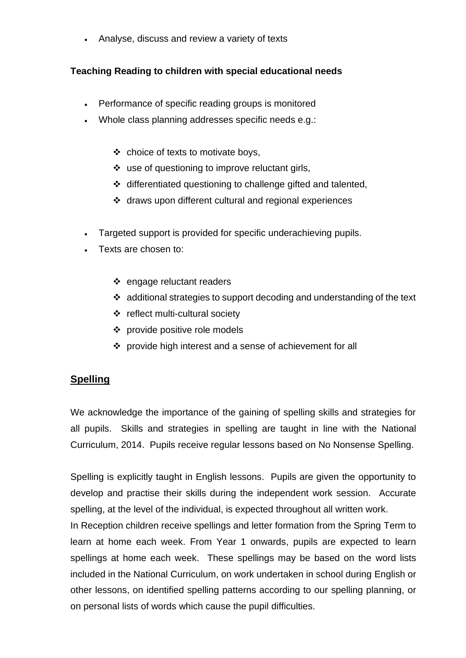• Analyse, discuss and review a variety of texts

## **Teaching Reading to children with special educational needs**

- Performance of specific reading groups is monitored
- Whole class planning addresses specific needs e.g.:
	- ❖ choice of texts to motivate boys,
	- ❖ use of questioning to improve reluctant girls,
	- ❖ differentiated questioning to challenge gifted and talented,
	- ❖ draws upon different cultural and regional experiences
- Targeted support is provided for specific underachieving pupils.
- Texts are chosen to:
	- ❖ engage reluctant readers
	- $\div$  additional strategies to support decoding and understanding of the text
	- ❖ reflect multi-cultural society
	- ❖ provide positive role models
	- ❖ provide high interest and a sense of achievement for all

### **Spelling**

We acknowledge the importance of the gaining of spelling skills and strategies for all pupils. Skills and strategies in spelling are taught in line with the National Curriculum, 2014. Pupils receive regular lessons based on No Nonsense Spelling.

Spelling is explicitly taught in English lessons. Pupils are given the opportunity to develop and practise their skills during the independent work session. Accurate spelling, at the level of the individual, is expected throughout all written work.

In Reception children receive spellings and letter formation from the Spring Term to learn at home each week. From Year 1 onwards, pupils are expected to learn spellings at home each week. These spellings may be based on the word lists included in the National Curriculum, on work undertaken in school during English or other lessons, on identified spelling patterns according to our spelling planning, or on personal lists of words which cause the pupil difficulties.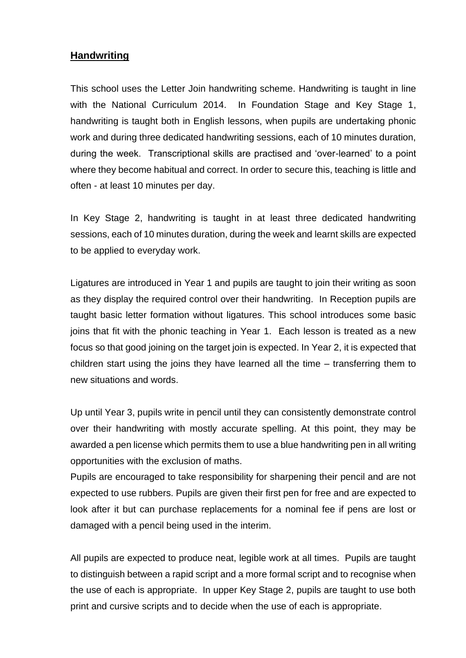#### **Handwriting**

This school uses the Letter Join handwriting scheme. Handwriting is taught in line with the National Curriculum 2014. In Foundation Stage and Key Stage 1, handwriting is taught both in English lessons, when pupils are undertaking phonic work and during three dedicated handwriting sessions, each of 10 minutes duration, during the week. Transcriptional skills are practised and 'over-learned' to a point where they become habitual and correct. In order to secure this, teaching is little and often - at least 10 minutes per day.

In Key Stage 2, handwriting is taught in at least three dedicated handwriting sessions, each of 10 minutes duration, during the week and learnt skills are expected to be applied to everyday work.

Ligatures are introduced in Year 1 and pupils are taught to join their writing as soon as they display the required control over their handwriting. In Reception pupils are taught basic letter formation without ligatures. This school introduces some basic joins that fit with the phonic teaching in Year 1. Each lesson is treated as a new focus so that good joining on the target join is expected. In Year 2, it is expected that children start using the joins they have learned all the time – transferring them to new situations and words.

Up until Year 3, pupils write in pencil until they can consistently demonstrate control over their handwriting with mostly accurate spelling. At this point, they may be awarded a pen license which permits them to use a blue handwriting pen in all writing opportunities with the exclusion of maths.

Pupils are encouraged to take responsibility for sharpening their pencil and are not expected to use rubbers. Pupils are given their first pen for free and are expected to look after it but can purchase replacements for a nominal fee if pens are lost or damaged with a pencil being used in the interim.

All pupils are expected to produce neat, legible work at all times. Pupils are taught to distinguish between a rapid script and a more formal script and to recognise when the use of each is appropriate. In upper Key Stage 2, pupils are taught to use both print and cursive scripts and to decide when the use of each is appropriate.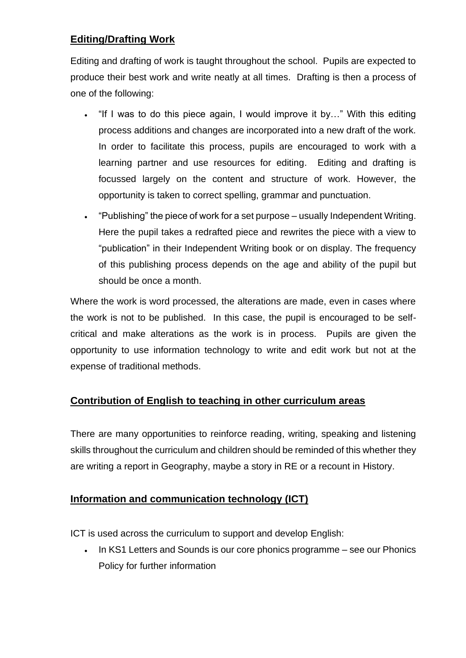# **Editing/Drafting Work**

Editing and drafting of work is taught throughout the school. Pupils are expected to produce their best work and write neatly at all times. Drafting is then a process of one of the following:

- "If I was to do this piece again, I would improve it by…" With this editing process additions and changes are incorporated into a new draft of the work. In order to facilitate this process, pupils are encouraged to work with a learning partner and use resources for editing. Editing and drafting is focussed largely on the content and structure of work. However, the opportunity is taken to correct spelling, grammar and punctuation.
- "Publishing" the piece of work for a set purpose usually Independent Writing. Here the pupil takes a redrafted piece and rewrites the piece with a view to "publication" in their Independent Writing book or on display. The frequency of this publishing process depends on the age and ability of the pupil but should be once a month.

Where the work is word processed, the alterations are made, even in cases where the work is not to be published. In this case, the pupil is encouraged to be selfcritical and make alterations as the work is in process. Pupils are given the opportunity to use information technology to write and edit work but not at the expense of traditional methods.

# **Contribution of English to teaching in other curriculum areas**

There are many opportunities to reinforce reading, writing, speaking and listening skills throughout the curriculum and children should be reminded of this whether they are writing a report in Geography, maybe a story in RE or a recount in History.

# **Information and communication technology (ICT)**

ICT is used across the curriculum to support and develop English:

In KS1 Letters and Sounds is our core phonics programme – see our Phonics Policy for further information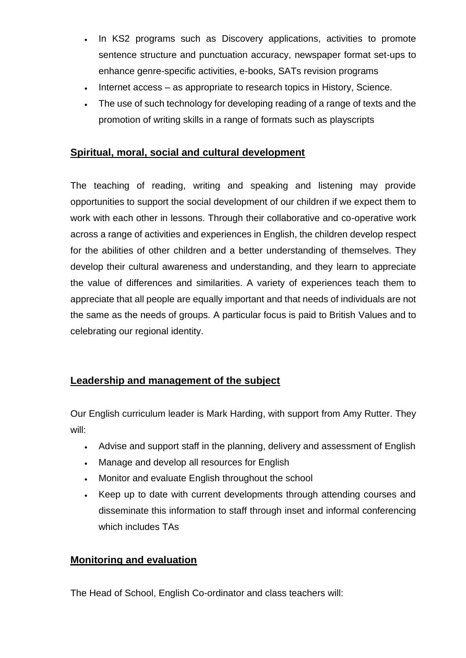- In KS2 programs such as Discovery applications, activities to promote sentence structure and punctuation accuracy, newspaper format set-ups to enhance genre-specific activities, e-books, SATs revision programs
- Internet access as appropriate to research topics in History, Science.
- The use of such technology for developing reading of a range of texts and the promotion of writing skills in a range of formats such as playscripts

# **Spiritual, moral, social and cultural development**

The teaching of reading, writing and speaking and listening may provide opportunities to support the social development of our children if we expect them to work with each other in lessons. Through their collaborative and co-operative work across a range of activities and experiences in English, the children develop respect for the abilities of other children and a better understanding of themselves. They develop their cultural awareness and understanding, and they learn to appreciate the value of differences and similarities. A variety of experiences teach them to appreciate that all people are equally important and that needs of individuals are not the same as the needs of groups. A particular focus is paid to British Values and to celebrating our regional identity.

# **Leadership and management of the subject**

Our English curriculum leader is Mark Harding, with support from Amy Rutter. They will:

- Advise and support staff in the planning, delivery and assessment of English
- Manage and develop all resources for English
- Monitor and evaluate English throughout the school
- Keep up to date with current developments through attending courses and disseminate this information to staff through inset and informal conferencing which includes TAs

### **Monitoring and evaluation**

The Head of School, English Co-ordinator and class teachers will: